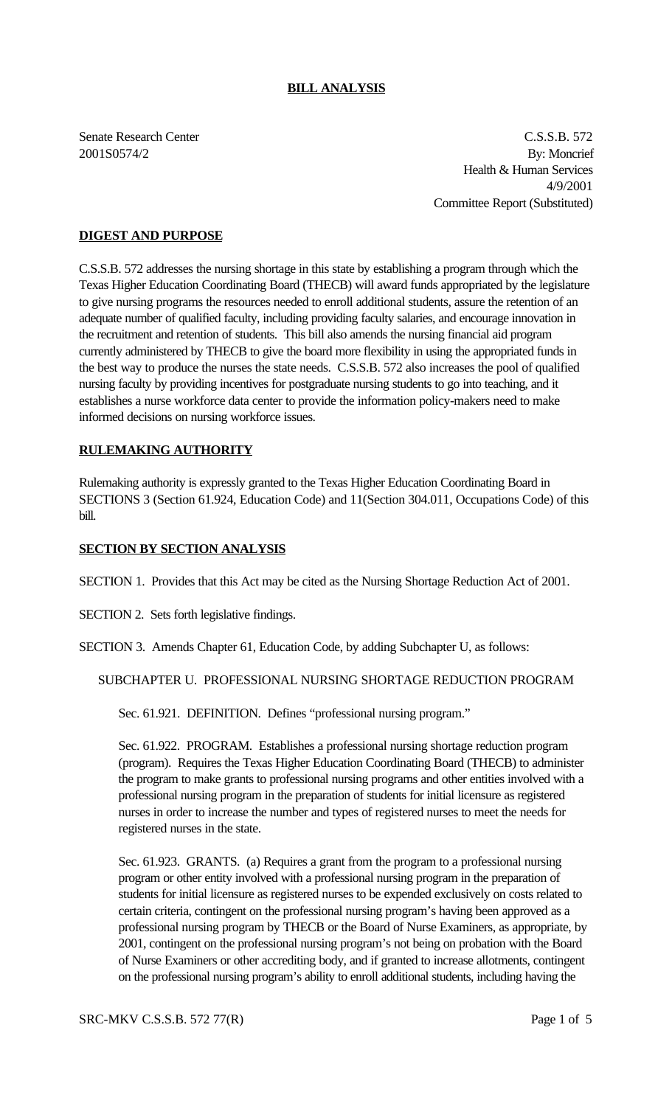## **BILL ANALYSIS**

Senate Research Center C.S.S.B. 572 2001S0574/2 By: Moncrief Health & Human Services 4/9/2001 Committee Report (Substituted)

## **DIGEST AND PURPOSE**

C.S.S.B. 572 addresses the nursing shortage in this state by establishing a program through which the Texas Higher Education Coordinating Board (THECB) will award funds appropriated by the legislature to give nursing programs the resources needed to enroll additional students, assure the retention of an adequate number of qualified faculty, including providing faculty salaries, and encourage innovation in the recruitment and retention of students. This bill also amends the nursing financial aid program currently administered by THECB to give the board more flexibility in using the appropriated funds in the best way to produce the nurses the state needs. C.S.S.B. 572 also increases the pool of qualified nursing faculty by providing incentives for postgraduate nursing students to go into teaching, and it establishes a nurse workforce data center to provide the information policy-makers need to make informed decisions on nursing workforce issues.

#### **RULEMAKING AUTHORITY**

Rulemaking authority is expressly granted to the Texas Higher Education Coordinating Board in SECTIONS 3 (Section 61.924, Education Code) and 11(Section 304.011, Occupations Code) of this bill.

#### **SECTION BY SECTION ANALYSIS**

SECTION 1. Provides that this Act may be cited as the Nursing Shortage Reduction Act of 2001.

SECTION 2. Sets forth legislative findings.

SECTION 3. Amends Chapter 61, Education Code, by adding Subchapter U, as follows:

## SUBCHAPTER U. PROFESSIONAL NURSING SHORTAGE REDUCTION PROGRAM

Sec. 61.921. DEFINITION. Defines "professional nursing program."

Sec. 61.922. PROGRAM. Establishes a professional nursing shortage reduction program (program). Requires the Texas Higher Education Coordinating Board (THECB) to administer the program to make grants to professional nursing programs and other entities involved with a professional nursing program in the preparation of students for initial licensure as registered nurses in order to increase the number and types of registered nurses to meet the needs for registered nurses in the state.

Sec. 61.923. GRANTS. (a) Requires a grant from the program to a professional nursing program or other entity involved with a professional nursing program in the preparation of students for initial licensure as registered nurses to be expended exclusively on costs related to certain criteria, contingent on the professional nursing program's having been approved as a professional nursing program by THECB or the Board of Nurse Examiners, as appropriate, by 2001, contingent on the professional nursing program's not being on probation with the Board of Nurse Examiners or other accrediting body, and if granted to increase allotments, contingent on the professional nursing program's ability to enroll additional students, including having the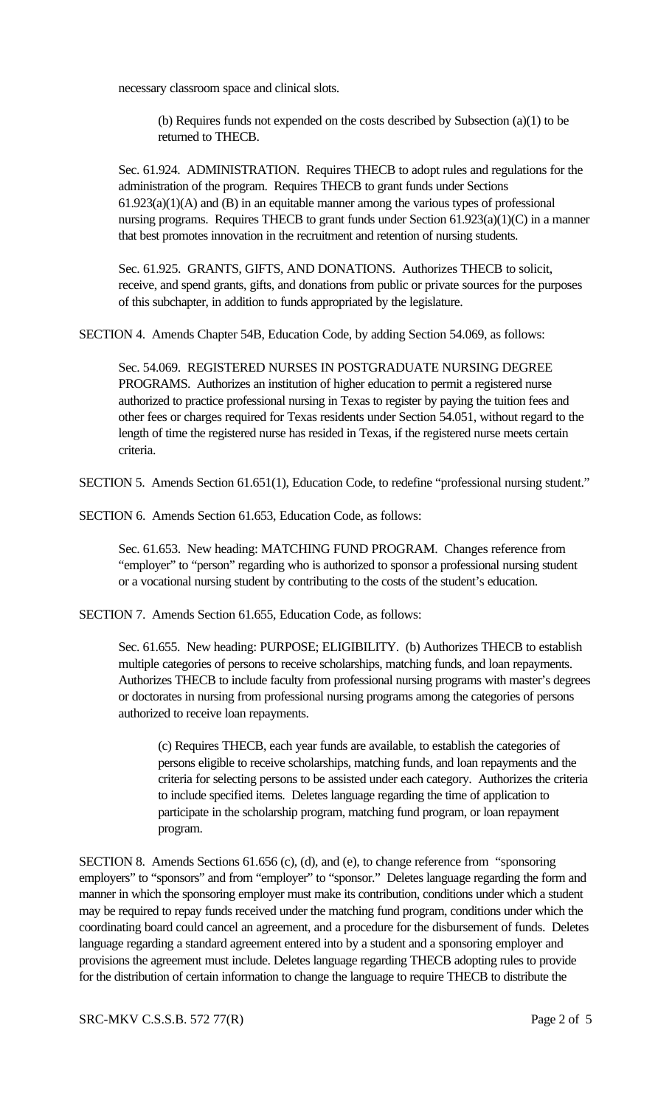necessary classroom space and clinical slots.

(b) Requires funds not expended on the costs described by Subsection (a)(1) to be returned to THECB.

Sec. 61.924. ADMINISTRATION. Requires THECB to adopt rules and regulations for the administration of the program. Requires THECB to grant funds under Sections  $61.923(a)(1)(A)$  and  $(B)$  in an equitable manner among the various types of professional nursing programs. Requires THECB to grant funds under Section 61.923(a)(1)(C) in a manner that best promotes innovation in the recruitment and retention of nursing students.

Sec. 61.925. GRANTS, GIFTS, AND DONATIONS. Authorizes THECB to solicit, receive, and spend grants, gifts, and donations from public or private sources for the purposes of this subchapter, in addition to funds appropriated by the legislature.

SECTION 4. Amends Chapter 54B, Education Code, by adding Section 54.069, as follows:

Sec. 54.069. REGISTERED NURSES IN POSTGRADUATE NURSING DEGREE PROGRAMS. Authorizes an institution of higher education to permit a registered nurse authorized to practice professional nursing in Texas to register by paying the tuition fees and other fees or charges required for Texas residents under Section 54.051, without regard to the length of time the registered nurse has resided in Texas, if the registered nurse meets certain criteria.

SECTION 5. Amends Section 61.651(1), Education Code, to redefine "professional nursing student."

SECTION 6. Amends Section 61.653, Education Code, as follows:

Sec. 61.653. New heading: MATCHING FUND PROGRAM. Changes reference from "employer" to "person" regarding who is authorized to sponsor a professional nursing student or a vocational nursing student by contributing to the costs of the student's education.

SECTION 7. Amends Section 61.655, Education Code, as follows:

Sec. 61.655. New heading: PURPOSE; ELIGIBILITY. (b) Authorizes THECB to establish multiple categories of persons to receive scholarships, matching funds, and loan repayments. Authorizes THECB to include faculty from professional nursing programs with master's degrees or doctorates in nursing from professional nursing programs among the categories of persons authorized to receive loan repayments.

(c) Requires THECB, each year funds are available, to establish the categories of persons eligible to receive scholarships, matching funds, and loan repayments and the criteria for selecting persons to be assisted under each category. Authorizes the criteria to include specified items. Deletes language regarding the time of application to participate in the scholarship program, matching fund program, or loan repayment program.

SECTION 8. Amends Sections 61.656 (c), (d), and (e), to change reference from "sponsoring employers" to "sponsors" and from "employer" to "sponsor." Deletes language regarding the form and manner in which the sponsoring employer must make its contribution, conditions under which a student may be required to repay funds received under the matching fund program, conditions under which the coordinating board could cancel an agreement, and a procedure for the disbursement of funds. Deletes language regarding a standard agreement entered into by a student and a sponsoring employer and provisions the agreement must include. Deletes language regarding THECB adopting rules to provide for the distribution of certain information to change the language to require THECB to distribute the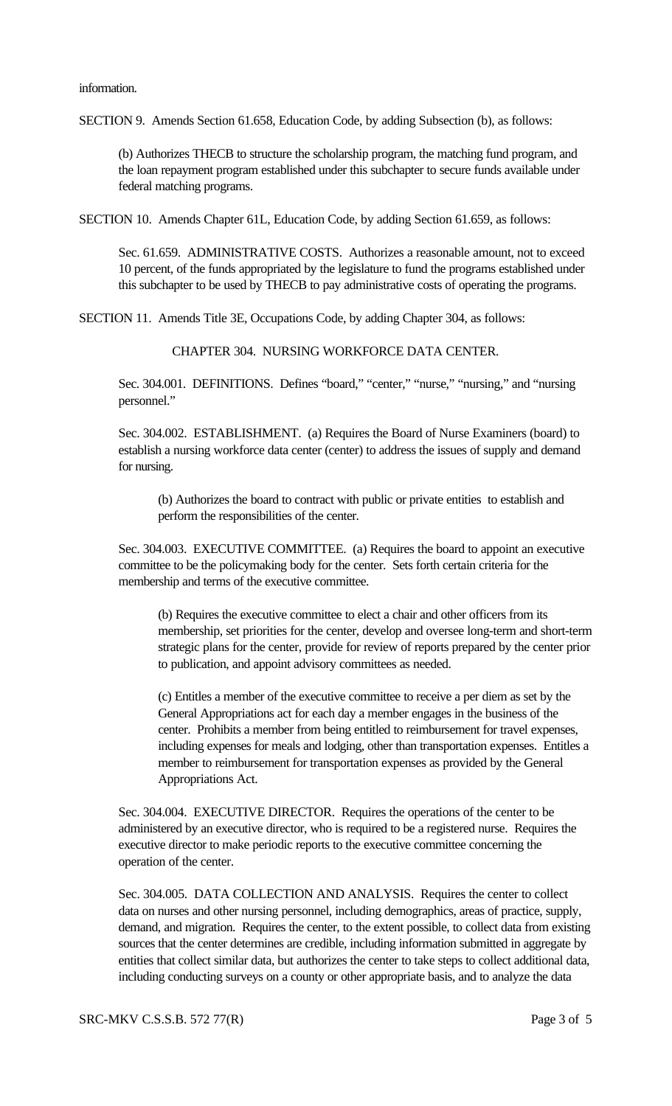SECTION 9. Amends Section 61.658, Education Code, by adding Subsection (b), as follows:

(b) Authorizes THECB to structure the scholarship program, the matching fund program, and the loan repayment program established under this subchapter to secure funds available under federal matching programs.

SECTION 10. Amends Chapter 61L, Education Code, by adding Section 61.659, as follows:

Sec. 61.659. ADMINISTRATIVE COSTS. Authorizes a reasonable amount, not to exceed 10 percent, of the funds appropriated by the legislature to fund the programs established under this subchapter to be used by THECB to pay administrative costs of operating the programs.

SECTION 11. Amends Title 3E, Occupations Code, by adding Chapter 304, as follows:

CHAPTER 304. NURSING WORKFORCE DATA CENTER.

Sec. 304.001. DEFINITIONS. Defines "board," "center," "nurse," "nursing," and "nursing personnel."

Sec. 304.002. ESTABLISHMENT. (a) Requires the Board of Nurse Examiners (board) to establish a nursing workforce data center (center) to address the issues of supply and demand for nursing.

(b) Authorizes the board to contract with public or private entities to establish and perform the responsibilities of the center.

Sec. 304.003. EXECUTIVE COMMITTEE. (a) Requires the board to appoint an executive committee to be the policymaking body for the center. Sets forth certain criteria for the membership and terms of the executive committee.

(b) Requires the executive committee to elect a chair and other officers from its membership, set priorities for the center, develop and oversee long-term and short-term strategic plans for the center, provide for review of reports prepared by the center prior to publication, and appoint advisory committees as needed.

(c) Entitles a member of the executive committee to receive a per diem as set by the General Appropriations act for each day a member engages in the business of the center. Prohibits a member from being entitled to reimbursement for travel expenses, including expenses for meals and lodging, other than transportation expenses. Entitles a member to reimbursement for transportation expenses as provided by the General Appropriations Act.

Sec. 304.004. EXECUTIVE DIRECTOR. Requires the operations of the center to be administered by an executive director, who is required to be a registered nurse. Requires the executive director to make periodic reports to the executive committee concerning the operation of the center.

Sec. 304.005. DATA COLLECTION AND ANALYSIS. Requires the center to collect data on nurses and other nursing personnel, including demographics, areas of practice, supply, demand, and migration. Requires the center, to the extent possible, to collect data from existing sources that the center determines are credible, including information submitted in aggregate by entities that collect similar data, but authorizes the center to take steps to collect additional data, including conducting surveys on a county or other appropriate basis, and to analyze the data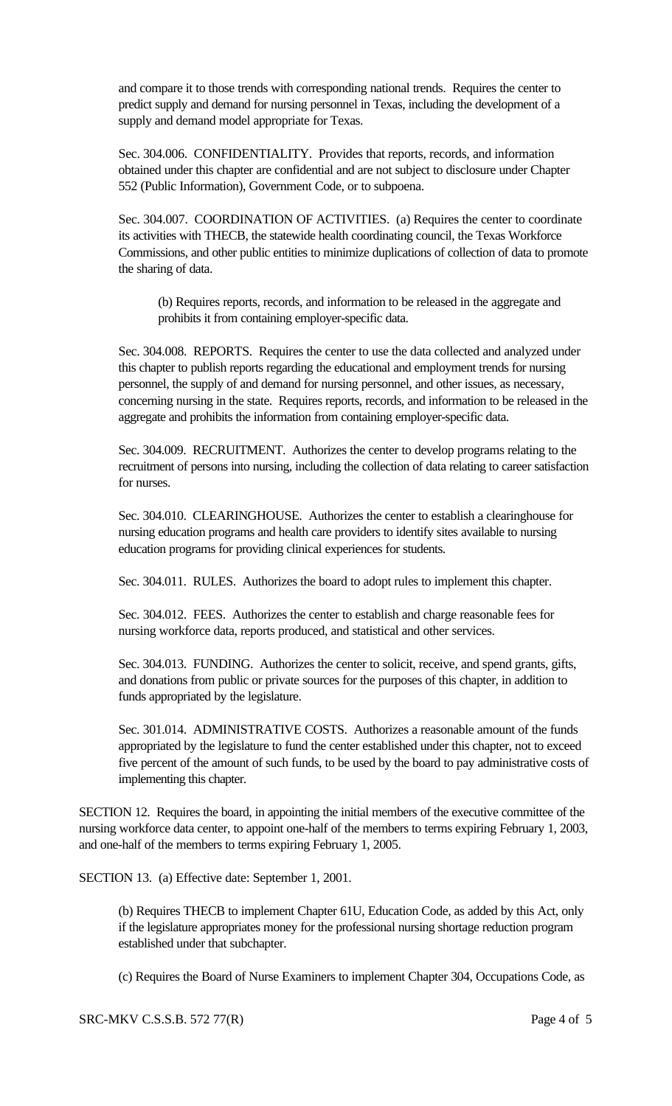and compare it to those trends with corresponding national trends. Requires the center to predict supply and demand for nursing personnel in Texas, including the development of a supply and demand model appropriate for Texas.

Sec. 304.006. CONFIDENTIALITY. Provides that reports, records, and information obtained under this chapter are confidential and are not subject to disclosure under Chapter 552 (Public Information), Government Code, or to subpoena.

Sec. 304.007. COORDINATION OF ACTIVITIES. (a) Requires the center to coordinate its activities with THECB, the statewide health coordinating council, the Texas Workforce Commissions, and other public entities to minimize duplications of collection of data to promote the sharing of data.

(b) Requires reports, records, and information to be released in the aggregate and prohibits it from containing employer-specific data.

Sec. 304.008. REPORTS. Requires the center to use the data collected and analyzed under this chapter to publish reports regarding the educational and employment trends for nursing personnel, the supply of and demand for nursing personnel, and other issues, as necessary, concerning nursing in the state. Requires reports, records, and information to be released in the aggregate and prohibits the information from containing employer-specific data.

Sec. 304.009. RECRUITMENT. Authorizes the center to develop programs relating to the recruitment of persons into nursing, including the collection of data relating to career satisfaction for nurses.

Sec. 304.010. CLEARINGHOUSE. Authorizes the center to establish a clearinghouse for nursing education programs and health care providers to identify sites available to nursing education programs for providing clinical experiences for students.

Sec. 304.011. RULES. Authorizes the board to adopt rules to implement this chapter.

Sec. 304.012. FEES. Authorizes the center to establish and charge reasonable fees for nursing workforce data, reports produced, and statistical and other services.

Sec. 304.013. FUNDING. Authorizes the center to solicit, receive, and spend grants, gifts, and donations from public or private sources for the purposes of this chapter, in addition to funds appropriated by the legislature.

Sec. 301.014. ADMINISTRATIVE COSTS. Authorizes a reasonable amount of the funds appropriated by the legislature to fund the center established under this chapter, not to exceed five percent of the amount of such funds, to be used by the board to pay administrative costs of implementing this chapter.

SECTION 12. Requires the board, in appointing the initial members of the executive committee of the nursing workforce data center, to appoint one-half of the members to terms expiring February 1, 2003, and one-half of the members to terms expiring February 1, 2005.

SECTION 13. (a) Effective date: September 1, 2001.

(b) Requires THECB to implement Chapter 61U, Education Code, as added by this Act, only if the legislature appropriates money for the professional nursing shortage reduction program established under that subchapter.

(c) Requires the Board of Nurse Examiners to implement Chapter 304, Occupations Code, as